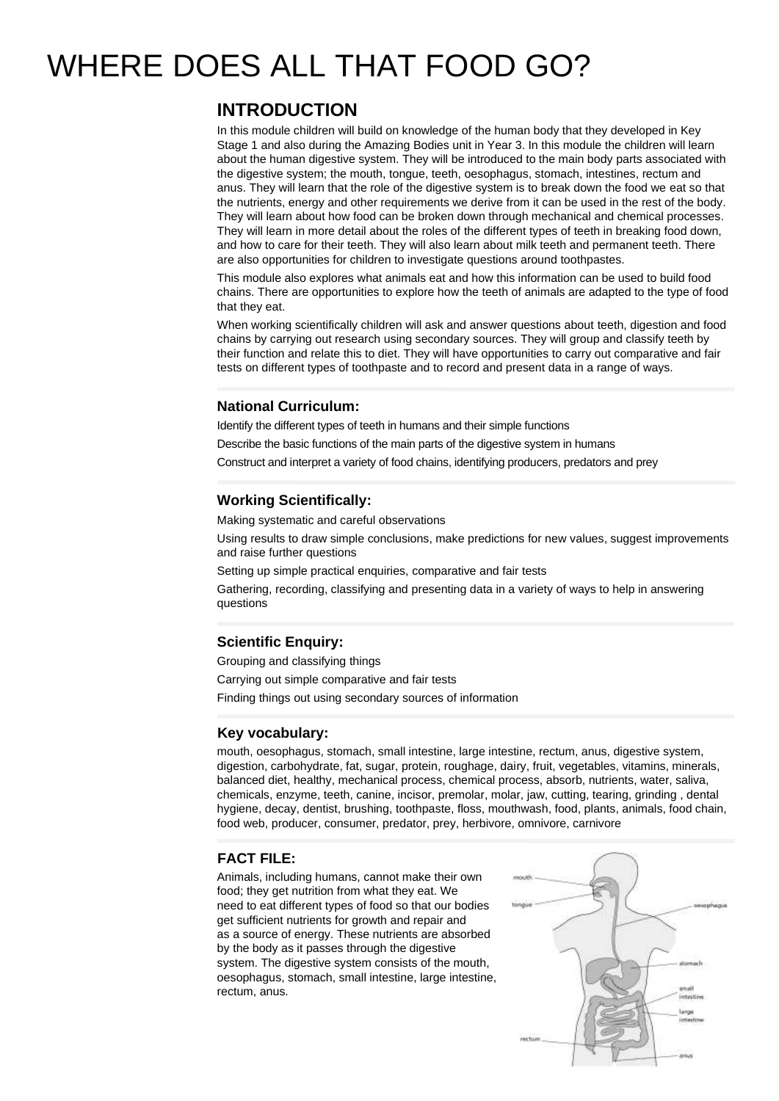# WHERE DOES ALL THAT FOOD GO?

## **INTRODUCTION**

In this module children will build on knowledge of the human body that they developed in Key Stage 1 and also during the Amazing Bodies unit in Year 3. In this module the children will learn about the human digestive system. They will be introduced to the main body parts associated with the digestive system; the mouth, tongue, teeth, oesophagus, stomach, intestines, rectum and anus. They will learn that the role of the digestive system is to break down the food we eat so that the nutrients, energy and other requirements we derive from it can be used in the rest of the body. They will learn about how food can be broken down through mechanical and chemical processes. They will learn in more detail about the roles of the different types of teeth in breaking food down, and how to care for their teeth. They will also learn about milk teeth and permanent teeth. There are also opportunities for children to investigate questions around toothpastes.

This module also explores what animals eat and how this information can be used to build food chains. There are opportunities to explore how the teeth of animals are adapted to the type of food that they eat.

When working scientifically children will ask and answer questions about teeth, digestion and food chains by carrying out research using secondary sources. They will group and classify teeth by their function and relate this to diet. They will have opportunities to carry out comparative and fair tests on different types of toothpaste and to record and present data in a range of ways.

## **National Curriculum:**

Identify the different types of teeth in humans and their simple functions

Describe the basic functions of the main parts of the digestive system in humans

Construct and interpret a variety of food chains, identifying producers, predators and prey

## **Working Scientifically:**

Making systematic and careful observations

Using results to draw simple conclusions, make predictions for new values, suggest improvements and raise further questions

Setting up simple practical enquiries, comparative and fair tests

Gathering, recording, classifying and presenting data in a variety of ways to help in answering questions

## **Scientific Enquiry:**

Grouping and classifying things Carrying out simple comparative and fair tests Finding things out using secondary sources of information

## **Key vocabulary:**

mouth, oesophagus, stomach, small intestine, large intestine, rectum, anus, digestive system, digestion, carbohydrate, fat, sugar, protein, roughage, dairy, fruit, vegetables, vitamins, minerals, balanced diet, healthy, mechanical process, chemical process, absorb, nutrients, water, saliva, chemicals, enzyme, teeth, canine, incisor, premolar, molar, jaw, cutting, tearing, grinding , dental hygiene, decay, dentist, brushing, toothpaste, floss, mouthwash, food, plants, animals, food chain, food web, producer, consumer, predator, prey, herbivore, omnivore, carnivore

## **FACT FILE:**

Animals, including humans, cannot make their own food; they get nutrition from what they eat. We need to eat different types of food so that our bodies get sufficient nutrients for growth and repair and as a source of energy. These nutrients are absorbed by the body as it passes through the digestive system. The digestive system consists of the mouth, oesophagus, stomach, small intestine, large intestine, rectum, anus.